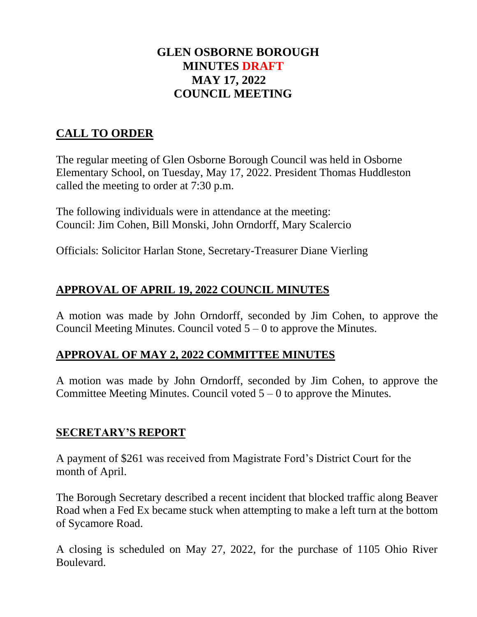## **GLEN OSBORNE BOROUGH MINUTES DRAFT MAY 17, 2022 COUNCIL MEETING**

# **CALL TO ORDER**

The regular meeting of Glen Osborne Borough Council was held in Osborne Elementary School, on Tuesday, May 17, 2022. President Thomas Huddleston called the meeting to order at 7:30 p.m.

The following individuals were in attendance at the meeting: Council: Jim Cohen, Bill Monski, John Orndorff, Mary Scalercio

Officials: Solicitor Harlan Stone, Secretary-Treasurer Diane Vierling

## **APPROVAL OF APRIL 19, 2022 COUNCIL MINUTES**

A motion was made by John Orndorff, seconded by Jim Cohen, to approve the Council Meeting Minutes. Council voted  $5 - 0$  to approve the Minutes.

## **APPROVAL OF MAY 2, 2022 COMMITTEE MINUTES**

A motion was made by John Orndorff, seconded by Jim Cohen, to approve the Committee Meeting Minutes. Council voted  $5 - 0$  to approve the Minutes.

#### **SECRETARY'S REPORT**

A payment of \$261 was received from Magistrate Ford's District Court for the month of April.

The Borough Secretary described a recent incident that blocked traffic along Beaver Road when a Fed Ex became stuck when attempting to make a left turn at the bottom of Sycamore Road.

A closing is scheduled on May 27, 2022, for the purchase of 1105 Ohio River Boulevard.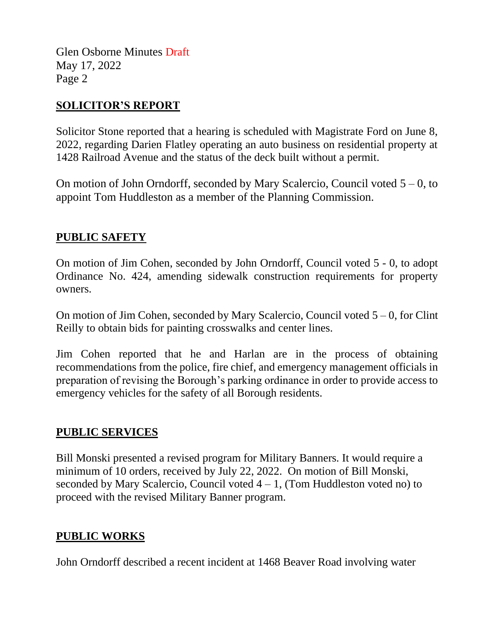Glen Osborne Minutes Draft May 17, 2022 Page 2

#### **SOLICITOR'S REPORT**

Solicitor Stone reported that a hearing is scheduled with Magistrate Ford on June 8, 2022, regarding Darien Flatley operating an auto business on residential property at 1428 Railroad Avenue and the status of the deck built without a permit.

On motion of John Orndorff, seconded by Mary Scalercio, Council voted  $5 - 0$ , to appoint Tom Huddleston as a member of the Planning Commission.

#### **PUBLIC SAFETY**

On motion of Jim Cohen, seconded by John Orndorff, Council voted 5 - 0, to adopt Ordinance No. 424, amending sidewalk construction requirements for property owners.

On motion of Jim Cohen, seconded by Mary Scalercio, Council voted  $5-0$ , for Clint Reilly to obtain bids for painting crosswalks and center lines.

Jim Cohen reported that he and Harlan are in the process of obtaining recommendations from the police, fire chief, and emergency management officials in preparation of revising the Borough's parking ordinance in order to provide access to emergency vehicles for the safety of all Borough residents.

#### **PUBLIC SERVICES**

Bill Monski presented a revised program for Military Banners. It would require a minimum of 10 orders, received by July 22, 2022. On motion of Bill Monski, seconded by Mary Scalercio, Council voted  $4 - 1$ , (Tom Huddleston voted no) to proceed with the revised Military Banner program.

## **PUBLIC WORKS**

John Orndorff described a recent incident at 1468 Beaver Road involving water